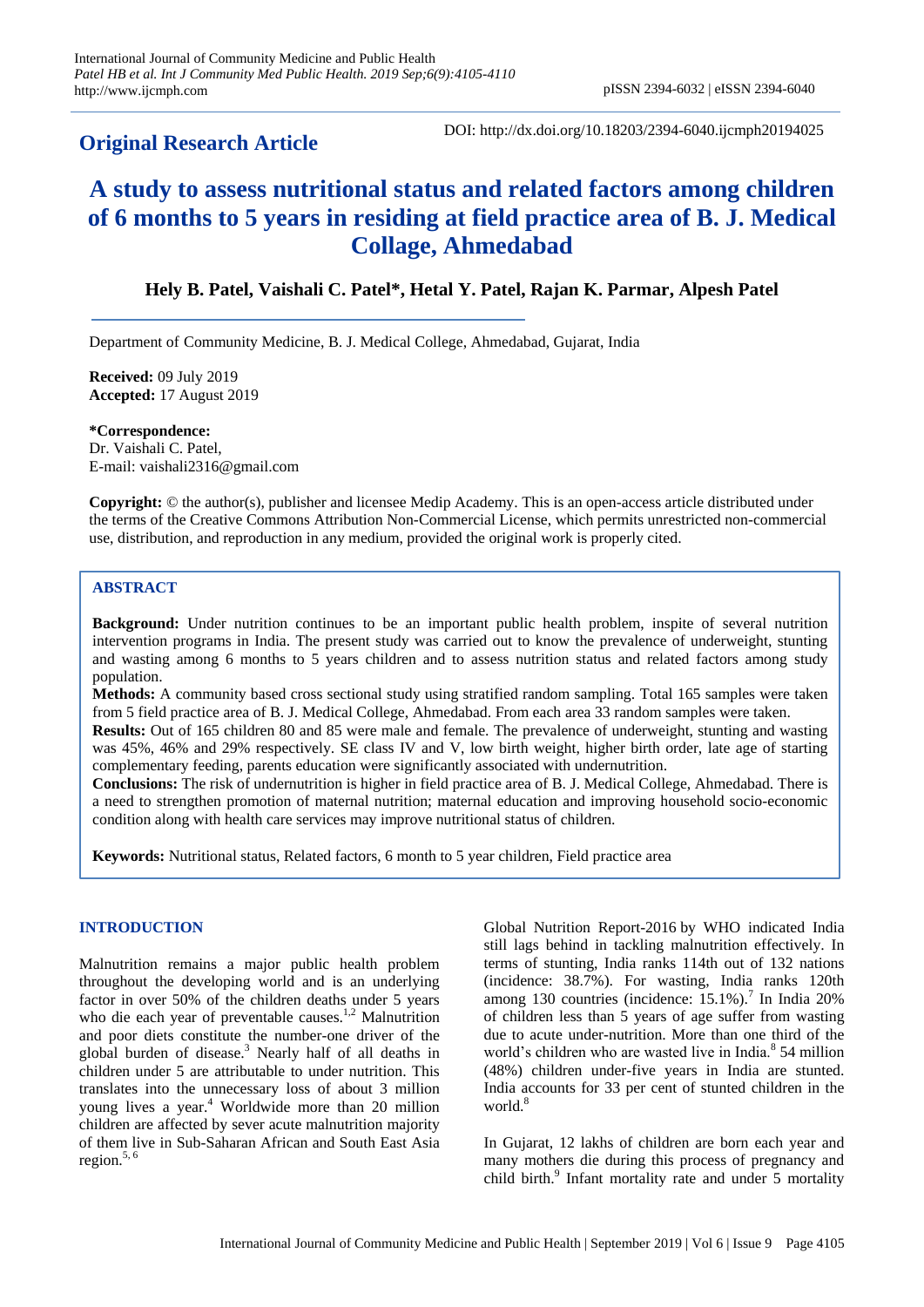# **Original Research Article**

DOI: http://dx.doi.org/10.18203/2394-6040.ijcmph20194025

# **A study to assess nutritional status and related factors among children of 6 months to 5 years in residing at field practice area of B. J. Medical Collage, Ahmedabad**

## **Hely B. Patel, Vaishali C. Patel\*, Hetal Y. Patel, Rajan K. Parmar, Alpesh Patel**

Department of Community Medicine, B. J. Medical College, Ahmedabad, Gujarat, India

**Received:** 09 July 2019 **Accepted:** 17 August 2019

**\*Correspondence:** Dr. Vaishali C. Patel, E-mail: vaishali2316@gmail.com

**Copyright:** © the author(s), publisher and licensee Medip Academy. This is an open-access article distributed under the terms of the Creative Commons Attribution Non-Commercial License, which permits unrestricted non-commercial use, distribution, and reproduction in any medium, provided the original work is properly cited.

## **ABSTRACT**

**Background:** Under nutrition continues to be an important public health problem, inspite of several nutrition intervention programs in India. The present study was carried out to know the prevalence of underweight, stunting and wasting among 6 months to 5 years children and to assess nutrition status and related factors among study population.

**Methods:** A community based cross sectional study using stratified random sampling. Total 165 samples were taken from 5 field practice area of B. J. Medical College, Ahmedabad. From each area 33 random samples were taken.

**Results:** Out of 165 children 80 and 85 were male and female. The prevalence of underweight, stunting and wasting was 45%, 46% and 29% respectively. SE class IV and V, low birth weight, higher birth order, late age of starting complementary feeding, parents education were significantly associated with undernutrition.

**Conclusions:** The risk of undernutrition is higher in field practice area of B. J. Medical College, Ahmedabad. There is a need to strengthen promotion of maternal nutrition; maternal education and improving household socio-economic condition along with health care services may improve nutritional status of children.

**Keywords:** Nutritional status, Related factors, 6 month to 5 year children, Field practice area

## **INTRODUCTION**

Malnutrition remains a major public health problem throughout the developing world and is an underlying factor in over 50% of the children deaths under 5 years who die each year of preventable causes.<sup>1,2</sup> Malnutrition and poor diets constitute the number-one driver of the global burden of disease.<sup>3</sup> Nearly half of all deaths in children under 5 are attributable to under nutrition. This translates into the unnecessary loss of about 3 million young lives a year.<sup>4</sup> Worldwide more than 20 million children are affected by sever acute malnutrition majority of them live in Sub-Saharan African and South East Asia region. $5, 6$ 

Global Nutrition Report-2016 by WHO indicated India still lags behind in tackling malnutrition effectively. In terms of stunting, India ranks 114th out of 132 nations (incidence: 38.7%). For wasting, India ranks 120th among 130 countries (incidence: 15.1%).<sup>7</sup> In India 20% of children less than 5 years of age suffer from wasting due to acute under-nutrition. More than one third of the world's children who are wasted live in India.<sup>8</sup> 54 million (48%) children under-five years in India are stunted. India accounts for 33 per cent of stunted children in the world.<sup>8</sup>

In Gujarat, 12 lakhs of children are born each year and many mothers die during this process of pregnancy and child birth.<sup>9</sup> Infant mortality rate and under 5 mortality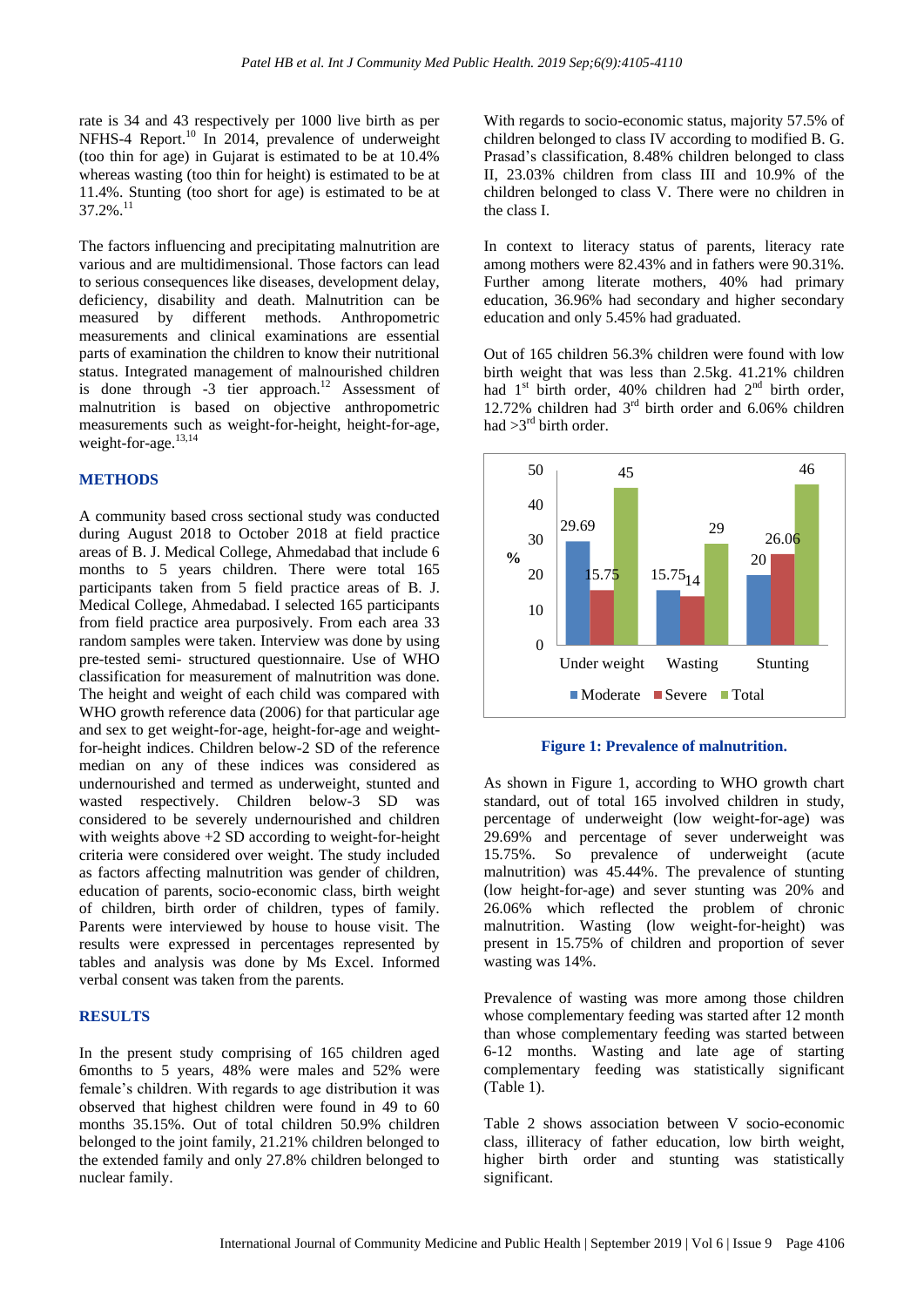rate is 34 and 43 respectively per 1000 live birth as per NFHS-4 Report.<sup>10</sup> In 2014, prevalence of underweight (too thin for age) in Gujarat is estimated to be at 10.4% whereas wasting (too thin for height) is estimated to be at 11.4%. Stunting (too short for age) is estimated to be at  $37.2\%$ <sup>1</sup>

The factors influencing and precipitating malnutrition are various and are multidimensional. Those factors can lead to serious consequences like diseases, development delay, deficiency, disability and death. Malnutrition can be measured by different methods. Anthropometric measurements and clinical examinations are essential parts of examination the children to know their nutritional status. Integrated management of malnourished children is done through -3 tier approach.<sup>12</sup> Assessment of malnutrition is based on objective anthropometric measurements such as weight-for-height, height-for-age, weight-for-age.<sup>13,14</sup>

#### **METHODS**

A community based cross sectional study was conducted during August 2018 to October 2018 at field practice areas of B. J. Medical College, Ahmedabad that include 6 months to 5 years children. There were total 165 participants taken from 5 field practice areas of B. J. Medical College, Ahmedabad. I selected 165 participants from field practice area purposively. From each area 33 random samples were taken. Interview was done by using pre-tested semi- structured questionnaire. Use of WHO classification for measurement of malnutrition was done. The height and weight of each child was compared with WHO growth reference data (2006) for that particular age and sex to get weight-for-age, height-for-age and weightfor-height indices. Children below-2 SD of the reference median on any of these indices was considered as undernourished and termed as underweight, stunted and wasted respectively. Children below-3 SD was considered to be severely undernourished and children with weights above  $+2$  SD according to weight-for-height criteria were considered over weight. The study included as factors affecting malnutrition was gender of children, education of parents, socio-economic class, birth weight of children, birth order of children, types of family. Parents were interviewed by house to house visit. The results were expressed in percentages represented by tables and analysis was done by Ms Excel. Informed verbal consent was taken from the parents.

#### **RESULTS**

In the present study comprising of 165 children aged 6months to 5 years, 48% were males and 52% were female's children. With regards to age distribution it was observed that highest children were found in 49 to 60 months 35.15%. Out of total children 50.9% children belonged to the joint family, 21.21% children belonged to the extended family and only 27.8% children belonged to nuclear family.

With regards to socio-economic status, majority 57.5% of children belonged to class IV according to modified B. G. Prasad's classification, 8.48% children belonged to class II, 23.03% children from class III and 10.9% of the children belonged to class V. There were no children in the class I.

In context to literacy status of parents, literacy rate among mothers were 82.43% and in fathers were 90.31%. Further among literate mothers, 40% had primary education, 36.96% had secondary and higher secondary education and only 5.45% had graduated.

Out of 165 children 56.3% children were found with low birth weight that was less than 2.5kg. 41.21% children had 1<sup>st</sup> birth order, 40% children had 2<sup>nd</sup> birth order, 12.72% children had 3rd birth order and 6.06% children had  $>3^{rd}$  birth order.



**Figure 1: Prevalence of malnutrition.**

As shown in Figure 1, according to WHO growth chart standard, out of total 165 involved children in study, percentage of underweight (low weight-for-age) was 29.69% and percentage of sever underweight was 15.75%. So prevalence of underweight (acute malnutrition) was 45.44%. The prevalence of stunting (low height-for-age) and sever stunting was 20% and 26.06% which reflected the problem of chronic malnutrition. Wasting (low weight-for-height) was present in 15.75% of children and proportion of sever wasting was 14%.

Prevalence of wasting was more among those children whose complementary feeding was started after 12 month than whose complementary feeding was started between 6-12 months. Wasting and late age of starting complementary feeding was statistically significant (Table 1).

Table 2 shows association between V socio-economic class, illiteracy of father education, low birth weight, higher birth order and stunting was statistically significant.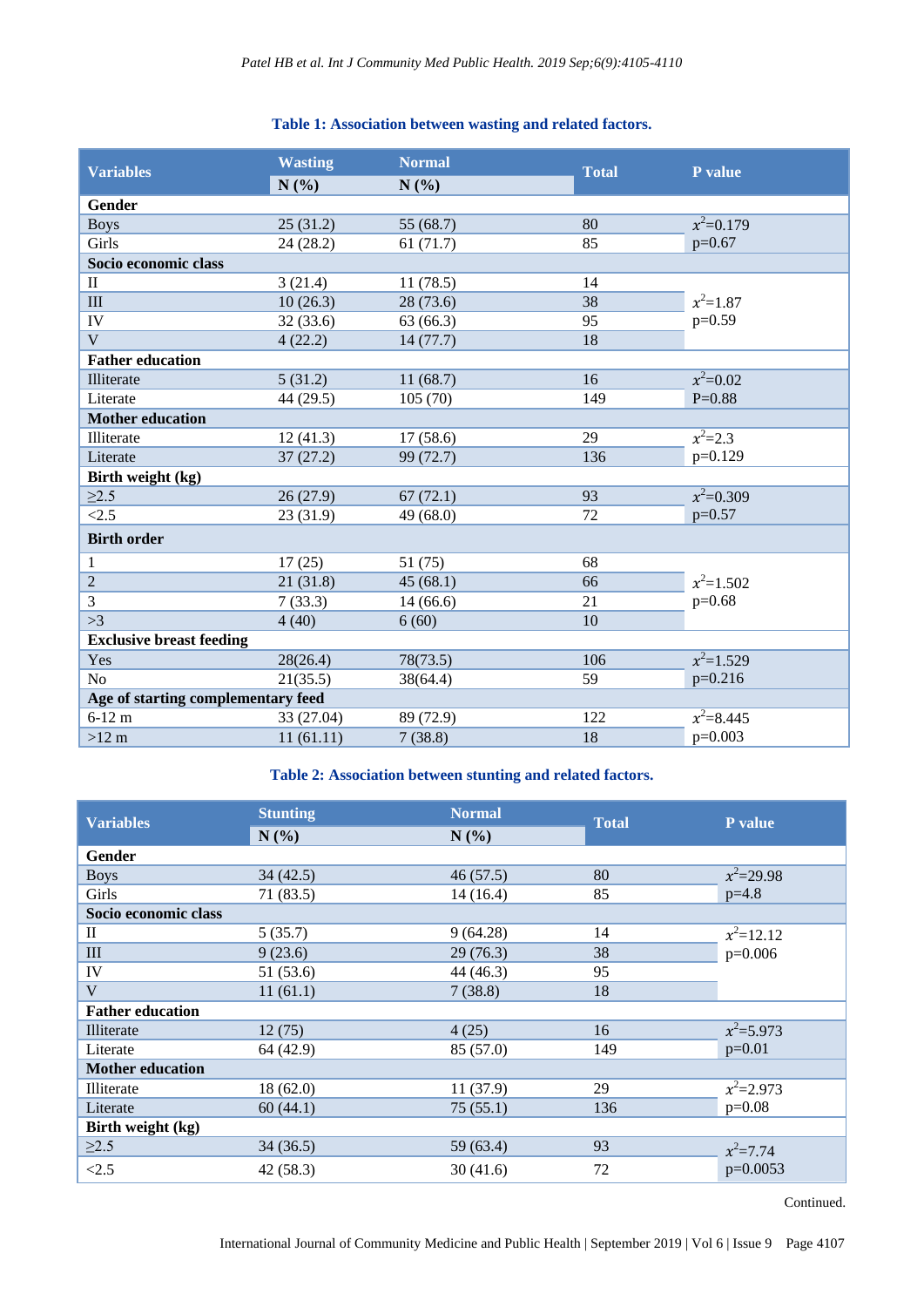## **Table 1: Association between wasting and related factors.**

| <b>Variables</b>                   | <b>Wasting</b> | <b>Normal</b> | <b>Total</b> | P value      |  |
|------------------------------------|----------------|---------------|--------------|--------------|--|
|                                    | N(%)           | N(%)          |              |              |  |
| <b>Gender</b>                      |                |               |              |              |  |
| <b>Boys</b>                        | 25(31.2)       | 55 (68.7)     | 80           | $x^2=0.179$  |  |
| Girls                              | 24(28.2)       | 61(71.7)      | 85           | $p=0.67$     |  |
| Socio economic class               |                |               |              |              |  |
| $\mathbf{I}$                       | 3(21.4)        | 11(78.5)      | 14           |              |  |
| III                                | 10(26.3)       | 28 (73.6)     | 38           | $x^2=1.87$   |  |
| IV                                 | 32(33.6)       | 63 (66.3)     | 95           | $p=0.59$     |  |
| $\mathbf{V}$                       | 4(22.2)        | 14(77.7)      | 18           |              |  |
| <b>Father education</b>            |                |               |              |              |  |
| Illiterate                         | 5(31.2)        | 11(68.7)      | 16           | $x^2=0.02$   |  |
| Literate                           | 44 (29.5)      | 105(70)       | 149          | $P=0.88$     |  |
| <b>Mother education</b>            |                |               |              |              |  |
| Illiterate                         | 12(41.3)       | 17(58.6)      | 29           | $x^2=2.3$    |  |
| Literate                           | 37(27.2)       | 99 (72.7)     | 136          | $p=0.129$    |  |
| Birth weight (kg)                  |                |               |              |              |  |
| $\geq$ 2.5                         | 26(27.9)       | 67(72.1)      | 93           | $x^2=0.309$  |  |
| <2.5                               | 23(31.9)       | 49 (68.0)     | 72           | $p=0.57$     |  |
| <b>Birth order</b>                 |                |               |              |              |  |
| $\mathbf{1}$                       | 17(25)         | 51 (75)       | 68           |              |  |
| $\overline{c}$                     | 21(31.8)       | 45(68.1)      | 66           | $x^2$ =1.502 |  |
| 3                                  | 7(33.3)        | 14(66.6)      | 21           | $p=0.68$     |  |
| >3                                 | 4(40)          | 6(60)         | 10           |              |  |
| <b>Exclusive breast feeding</b>    |                |               |              |              |  |
| Yes                                | 28(26.4)       | 78(73.5)      | 106          | $x^2=1.529$  |  |
| N <sub>o</sub>                     | 21(35.5)       | 38(64.4)      | 59           | $p=0.216$    |  |
| Age of starting complementary feed |                |               |              |              |  |
| $6 - 12$ m                         | 33 (27.04)     | 89 (72.9)     | 122          | $x^2=8.445$  |  |
| $>12$ m                            | 11(61.11)      | 7(38.8)       | 18           | $p=0.003$    |  |

## **Table 2: Association between stunting and related factors.**

| <b>Variables</b>        | <b>Stunting</b> | <b>Normal</b> | <b>Total</b> | P value      |
|-------------------------|-----------------|---------------|--------------|--------------|
|                         | N(%)            | N(%)          |              |              |
| <b>Gender</b>           |                 |               |              |              |
| <b>Boys</b>             | 34(42.5)        | 46(57.5)      | 80           | $x^2=29.98$  |
| Girls                   | 71 (83.5)       | 14(16.4)      | 85           | $p=4.8$      |
| Socio economic class    |                 |               |              |              |
| П                       | 5(35.7)         | 9(64.28)      | 14           | $x^2=12.12$  |
| III                     | 9(23.6)         | 29(76.3)      | 38           | $p=0.006$    |
| IV                      | 51 (53.6)       | 44 (46.3)     | 95           |              |
| V                       | 11(61.1)        | 7(38.8)       | 18           |              |
| <b>Father education</b> |                 |               |              |              |
| Illiterate              | 12(75)          | 4(25)         | 16           | $x^2=5.973$  |
| Literate                | 64 (42.9)       | 85 (57.0)     | 149          | $p=0.01$     |
| <b>Mother education</b> |                 |               |              |              |
| Illiterate              | 18(62.0)        | 11(37.9)      | 29           | $x^2=2.973$  |
| Literate                | 60(44.1)        | 75(55.1)      | 136          | $p=0.08$     |
| Birth weight (kg)       |                 |               |              |              |
| $\geq$ 2.5              | 34(36.5)        | 59 (63.4)     | 93           | $x^2 = 7.74$ |
| < 2.5                   | 42(58.3)        | 30(41.6)      | 72           | $p=0.0053$   |

Continued.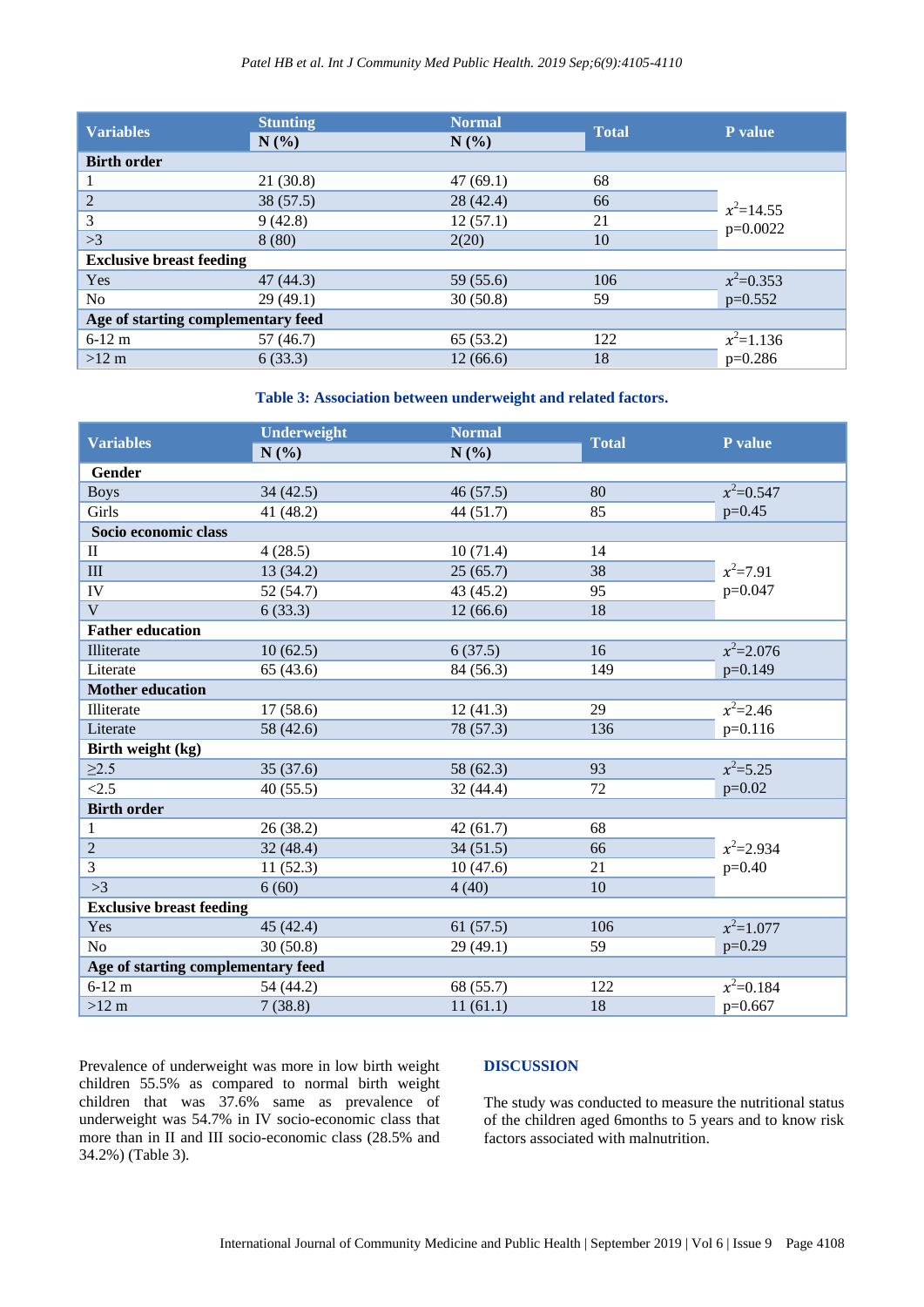| <b>Variables</b>                   | <b>Stunting</b><br>N(%) | <b>Normal</b><br>N(%) | <b>Total</b> | P value     |  |
|------------------------------------|-------------------------|-----------------------|--------------|-------------|--|
| <b>Birth order</b>                 |                         |                       |              |             |  |
|                                    | 21(30.8)                | 47(69.1)              | 68           |             |  |
| 2                                  | 38(57.5)                | 28(42.4)              | 66           | $x^2=14.55$ |  |
| 3                                  | 9(42.8)                 | 12(57.1)              | 21           | p=0.0022    |  |
| >3                                 | 8(80)                   | 2(20)                 | 10           |             |  |
| <b>Exclusive breast feeding</b>    |                         |                       |              |             |  |
| Yes                                | 47(44.3)                | 59 (55.6)             | 106          | $x^2=0.353$ |  |
| N <sub>o</sub>                     | 29(49.1)                | 30(50.8)              | 59           | $p=0.552$   |  |
| Age of starting complementary feed |                         |                       |              |             |  |
| $6-12$ m                           | 57(46.7)                | 65(53.2)              | 122          | $x^2=1.136$ |  |
| $>12 \text{ m}$                    | 6(33.3)                 | 12(66.6)              | 18           | $p=0.286$   |  |

#### **Table 3: Association between underweight and related factors.**

| <b>Variables</b>                   | <b>Underweight</b><br>N(%) | <b>Normal</b><br>N(%) | <b>Total</b> | P value       |
|------------------------------------|----------------------------|-----------------------|--------------|---------------|
| Gender                             |                            |                       |              |               |
| <b>Boys</b>                        | 34(42.5)                   | 46(57.5)              | 80           | $x^2=0.547$   |
| Girls                              | 41 (48.2)                  | 44(51.7)              | 85           | $p=0.45$      |
| Socio economic class               |                            |                       |              |               |
| $\mathbf{I}$                       | 4(28.5)                    | 10(71.4)              | 14           |               |
| III                                | 13(34.2)                   | 25(65.7)              | 38           | $x^2=7.91$    |
| IV                                 | 52 (54.7)                  | 43 (45.2)             | 95           | $p=0.047$     |
| $\mathbf{V}$                       | 6(33.3)                    | 12(66.6)              | 18           |               |
| <b>Father education</b>            |                            |                       |              |               |
| Illiterate                         | 10(62.5)                   | 6(37.5)               | 16           | $x^2 = 2.076$ |
| Literate                           | 65(43.6)                   | 84 (56.3)             | 149          | $p=0.149$     |
| <b>Mother education</b>            |                            |                       |              |               |
| Illiterate                         | 17(58.6)                   | 12(41.3)              | 29           | $x^2 = 2.46$  |
| Literate                           | 58 (42.6)                  | 78 (57.3)             | 136          | $p=0.116$     |
| Birth weight (kg)                  |                            |                       |              |               |
| $\geq 2.5$                         | 35(37.6)                   | 58 (62.3)             | 93           | $x^2 = 5.25$  |
| < 2.5                              | 40(55.5)                   | 32 (44.4)             | 72           | $p=0.02$      |
| <b>Birth order</b>                 |                            |                       |              |               |
| $\mathbf{1}$                       | 26(38.2)                   | 42(61.7)              | 68           |               |
| $\sqrt{2}$                         | 32(48.4)                   | 34(51.5)              | 66           | $x^2=2.934$   |
| 3                                  | 11(52.3)                   | 10(47.6)              | 21           | $p=0.40$      |
| >3                                 | 6(60)                      | 4(40)                 | 10           |               |
| <b>Exclusive breast feeding</b>    |                            |                       |              |               |
| Yes                                | 45(42.4)                   | 61(57.5)              | 106          | $x^2=1.077$   |
| N <sub>o</sub>                     | 30(50.8)                   | 29(49.1)              | 59           | $p=0.29$      |
| Age of starting complementary feed |                            |                       |              |               |
| $6 - 12$ m                         | 54 (44.2)                  | 68 (55.7)             | 122          | $x^2=0.184$   |
| >12 m                              | 7(38.8)                    | 11(61.1)              | 18           | $p=0.667$     |

Prevalence of underweight was more in low birth weight children 55.5% as compared to normal birth weight children that was 37.6% same as prevalence of underweight was 54.7% in IV socio-economic class that more than in II and III socio-economic class (28.5% and 34.2%) (Table 3).

## **DISCUSSION**

The study was conducted to measure the nutritional status of the children aged 6months to 5 years and to know risk factors associated with malnutrition.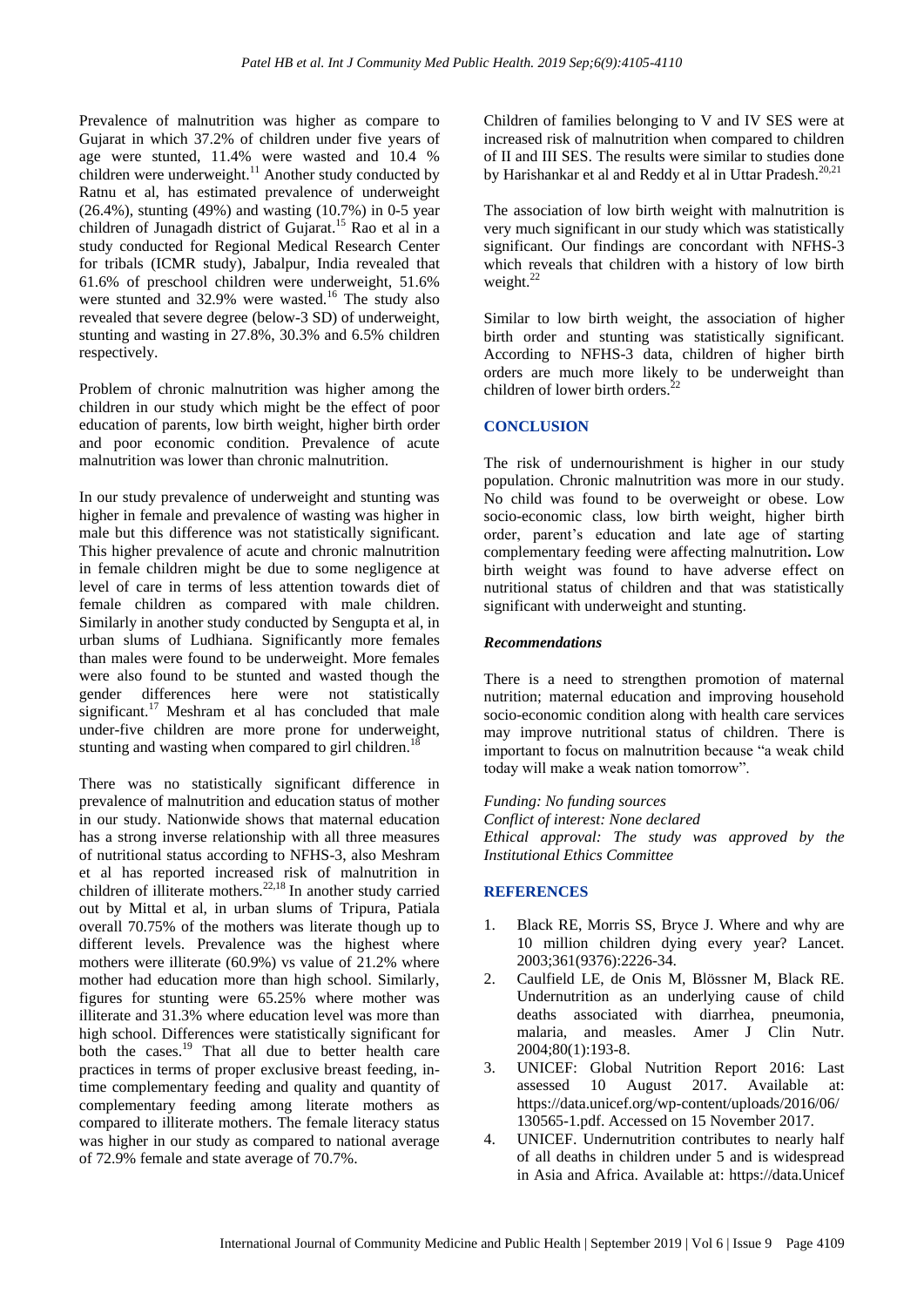Prevalence of malnutrition was higher as compare to Gujarat in which 37.2% of children under five years of age were stunted, 11.4% were wasted and 10.4 % children were underweight.<sup>11</sup> Another study conducted by Ratnu et al, has estimated prevalence of underweight (26.4%), stunting (49%) and wasting (10.7%) in 0-5 year children of Junagadh district of Gujarat. <sup>15</sup> Rao et al in a study conducted for Regional Medical Research Center for tribals (ICMR study), Jabalpur, India revealed that 61.6% of preschool children were underweight, 51.6% were stunted and 32.9% were wasted.<sup>16</sup> The study also revealed that severe degree (below-3 SD) of underweight, stunting and wasting in 27.8%, 30.3% and 6.5% children respectively.

Problem of chronic malnutrition was higher among the children in our study which might be the effect of poor education of parents, low birth weight, higher birth order and poor economic condition. Prevalence of acute malnutrition was lower than chronic malnutrition.

In our study prevalence of underweight and stunting was higher in female and prevalence of wasting was higher in male but this difference was not statistically significant. This higher prevalence of acute and chronic malnutrition in female children might be due to some negligence at level of care in terms of less attention towards diet of female children as compared with male children. Similarly in another study conducted by Sengupta et al, in urban slums of Ludhiana. Significantly more females than males were found to be underweight. More females were also found to be stunted and wasted though the gender differences here were not statistically significant.<sup>17</sup> Meshram et al has concluded that male under-five children are more prone for underweight, stunting and wasting when compared to girl children.<sup>18</sup>

There was no statistically significant difference in prevalence of malnutrition and education status of mother in our study. Nationwide shows that maternal education has a strong inverse relationship with all three measures of nutritional status according to NFHS-3, also Meshram et al has reported increased risk of malnutrition in children of illiterate mothers.<sup>22,18</sup> In another study carried out by Mittal et al, in urban slums of Tripura, Patiala overall 70.75% of the mothers was literate though up to different levels. Prevalence was the highest where mothers were illiterate (60.9%) vs value of 21.2% where mother had education more than high school. Similarly, figures for stunting were 65.25% where mother was illiterate and 31.3% where education level was more than high school. Differences were statistically significant for both the cases.<sup>19</sup> That all due to better health care practices in terms of proper exclusive breast feeding, intime complementary feeding and quality and quantity of complementary feeding among literate mothers as compared to illiterate mothers. The female literacy status was higher in our study as compared to national average of 72.9% female and state average of 70.7%.

Children of families belonging to V and IV SES were at increased risk of malnutrition when compared to children of II and III SES. The results were similar to studies done by Harishankar et al and Reddy et al in Uttar Pradesh.<sup>20,21</sup>

The association of low birth weight with malnutrition is very much significant in our study which was statistically significant. Our findings are concordant with NFHS-3 which reveals that children with a history of low birth weight.<sup>22</sup>

Similar to low birth weight, the association of higher birth order and stunting was statistically significant. According to NFHS-3 data, children of higher birth orders are much more likely to be underweight than children of lower birth orders. $^{22}$ 

### **CONCLUSION**

The risk of undernourishment is higher in our study population. Chronic malnutrition was more in our study. No child was found to be overweight or obese. Low socio-economic class, low birth weight, higher birth order, parent's education and late age of starting complementary feeding were affecting malnutrition**.** Low birth weight was found to have adverse effect on nutritional status of children and that was statistically significant with underweight and stunting.

#### *Recommendations*

There is a need to strengthen promotion of maternal nutrition; maternal education and improving household socio-economic condition along with health care services may improve nutritional status of children. There is important to focus on malnutrition because "a weak child today will make a weak nation tomorrow".

*Funding: No funding sources Conflict of interest: None declared Ethical approval: The study was approved by the Institutional Ethics Committee*

#### **REFERENCES**

- 1. Black RE, Morris SS, Bryce J. Where and why are 10 million children dying every year? Lancet. 2003;361(9376):2226-34.
- 2. Caulfield LE, de Onis M, Blössner M, Black RE. Undernutrition as an underlying cause of child deaths associated with diarrhea, pneumonia, malaria, and measles. Amer J Clin Nutr. 2004;80(1):193-8.
- 3. UNICEF: Global Nutrition Report 2016: Last assessed 10 August 2017. Available at: [https://data.unicef.org/wp-content/uploads/2](https://data.unicef.org/wp-content/uploads/)016/06/ 130565-1.pdf. Accessed on 15 November 2017.
- 4. UNICEF. Undernutrition contributes to nearly half of all deaths in children under 5 and is widespread in Asia and Africa. Available at: https://data.Unicef